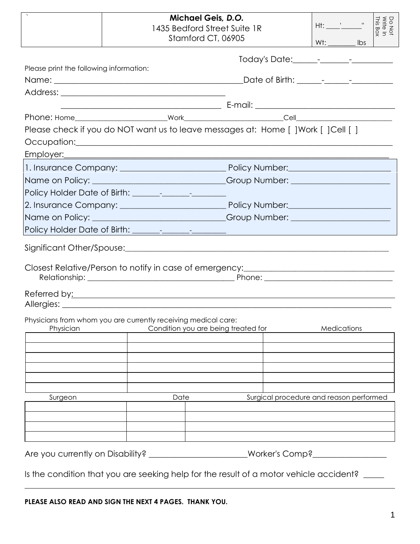|                                                                                                                                                                                                                                                                                                                    |                                                                                                       | Michael Geis, D.O.<br>1435 Bedford Street Suite 1R<br>Stamford CT, 06905 | $Wt:$ $\qquad \qquad$ lbs               |  |
|--------------------------------------------------------------------------------------------------------------------------------------------------------------------------------------------------------------------------------------------------------------------------------------------------------------------|-------------------------------------------------------------------------------------------------------|--------------------------------------------------------------------------|-----------------------------------------|--|
| Please print the following information:                                                                                                                                                                                                                                                                            |                                                                                                       |                                                                          |                                         |  |
|                                                                                                                                                                                                                                                                                                                    |                                                                                                       |                                                                          |                                         |  |
| Please check if you do NOT want us to leave messages at: Home [ ] Work [ ] Cell [ ]                                                                                                                                                                                                                                |                                                                                                       |                                                                          |                                         |  |
| Name on Policy: ________________________________Group Number: __________________                                                                                                                                                                                                                                   |                                                                                                       |                                                                          |                                         |  |
| Closest Relative/Person to notify in case of emergency:_________________________<br>Referred by: Neterral by: Neterral by: Neterral by: Neterral by: Neterral by: Neterral by: Neterral by: Neterral by: Neterral by: Neterral by: Neterral by: Neterral by: Neterral by: Neterral by: Neterral by: Neterral by: N |                                                                                                       |                                                                          |                                         |  |
| Physician                                                                                                                                                                                                                                                                                                          | Physicians from whom you are currently receiving medical care:<br>Condition you are being treated for |                                                                          | Medications                             |  |
| Surgeon                                                                                                                                                                                                                                                                                                            | Date                                                                                                  |                                                                          | Surgical procedure and reason performed |  |
| Is the condition that you are seeking help for the result of a motor vehicle accident?                                                                                                                                                                                                                             |                                                                                                       |                                                                          |                                         |  |

**PLEASE ALSO READ AND SIGN THE NEXT 4 PAGES. THANK YOU.**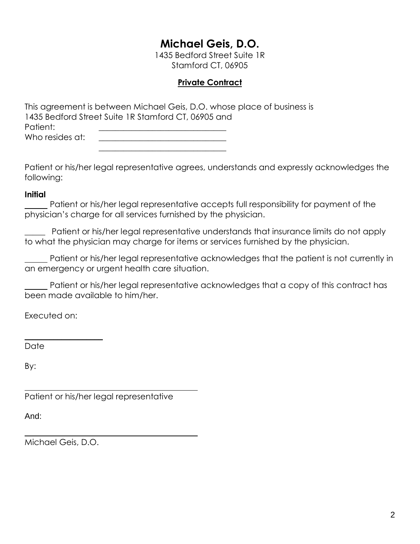# **Michael Geis, D.O.**

1435 Bedford Street Suite 1R Stamford CT, 06905

## **Private Contract**

This agreement is between Michael Geis, D.O. whose place of business is 1435 Bedford Street Suite 1R Stamford CT, 06905 and Patient: Who resides at:

\_\_\_\_\_\_\_\_\_\_\_\_\_\_\_\_\_\_\_\_\_\_\_\_\_\_\_\_\_\_\_

Patient or his/her legal representative agrees, understands and expressly acknowledges the following:

#### **Initial**

 Patient or his/her legal representative accepts full responsibility for payment of the physician's charge for all services furnished by the physician.

Patient or his/her legal representative understands that insurance limits do not apply to what the physician may charge for items or services furnished by the physician.

 Patient or his/her legal representative acknowledges that the patient is not currently in an emergency or urgent health care situation.

 Patient or his/her legal representative acknowledges that a copy of this contract has been made available to him/her.

Executed on:

**\_\_\_\_\_\_\_\_\_\_\_\_\_\_\_\_\_\_\_**

Date

By:

Patient or his/her legal representative

And:

Michael Geis, D.O.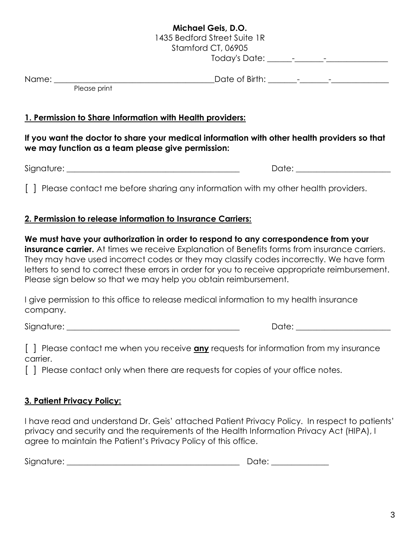## **Michael Geis, D.O.** 1435 Bedford Street Suite 1R Stamford CT, 06905

Today's Date: \_\_\_\_\_\_-\_\_\_\_\_\_\_-\_\_\_\_\_\_\_\_\_\_\_\_\_\_\_

Name: \_\_\_\_\_\_\_\_\_\_\_\_\_\_\_\_\_\_\_\_\_\_\_\_\_\_\_\_\_\_\_\_\_\_\_\_\_\_\_Date of Birth: \_\_\_\_\_\_\_-\_\_\_\_\_\_\_-\_\_\_\_\_\_\_\_\_\_\_\_\_\_

Please print

## **1. Permission to Share Information with Health providers:**

### **If you want the doctor to share your medical information with other health providers so that we may function as a team please give permission:**

Signature: \_\_\_\_\_\_\_\_\_\_\_\_\_\_\_\_\_\_\_\_\_\_\_\_\_\_\_\_\_\_\_\_\_\_\_\_\_\_\_\_\_\_ Date: \_\_\_\_\_\_\_\_\_\_\_\_\_\_\_\_\_\_\_\_\_\_\_

[] Please contact me before sharing any information with my other health providers.

### **2. Permission to release information to Insurance Carriers:**

**We must have your authorization in order to respond to any correspondence from your insurance carrier.** At times we receive Explanation of Benefits forms from insurance carriers. They may have used incorrect codes or they may classify codes incorrectly. We have form letters to send to correct these errors in order for you to receive appropriate reimbursement. Please sign below so that we may help you obtain reimbursement.

I give permission to this office to release medical information to my health insurance company.

Signature: \_\_\_\_\_\_\_\_\_\_\_\_\_\_\_\_\_\_\_\_\_\_\_\_\_\_\_\_\_\_\_\_\_\_\_\_\_\_\_\_\_\_ Date: \_\_\_\_\_\_\_\_\_\_\_\_\_\_\_\_\_\_\_\_\_\_\_

[ ] Please contact me when you receive **any** requests for information from my insurance carrier.

[] Please contact only when there are requests for copies of your office notes.

## **3. Patient Privacy Policy:**

I have read and understand Dr. Geis' attached Patient Privacy Policy. In respect to patients' privacy and security and the requirements of the Health Information Privacy Act (HIPA), I agree to maintain the Patient's Privacy Policy of this office.

Signature: \_\_\_\_\_\_\_\_\_\_\_\_\_\_\_\_\_\_\_\_\_\_\_\_\_\_\_\_\_\_\_\_\_\_\_\_\_\_\_\_\_\_ Date: \_\_\_\_\_\_\_\_\_\_\_\_\_\_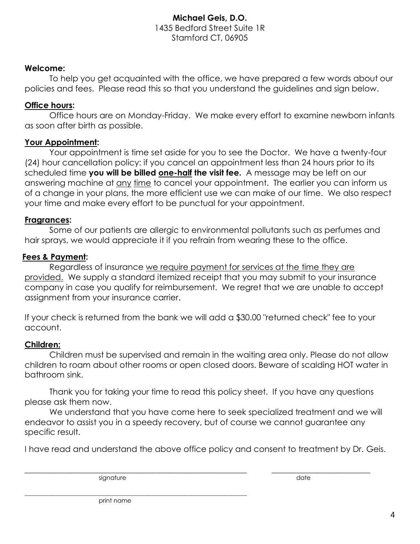### **Michael Geis, D.O.** 1435 Bedford Street Suite 1R Stamford CT, 06905

#### **Welcome:**

To help you get acquainted with the office, we have prepared a few words about our policies and fees. Please read this so that you understand the guidelines and sign below.

#### **Office hours:**

Office hours are on Monday-Friday. We make every effort to examine newborn infants as soon after birth as possible.

#### **Your Appointment:**

Your appointment is time set aside for you to see the Doctor. We have a twenty-four (24) hour cancellation policy: if you cancel an appointment less than 24 hours prior to its scheduled time **you will be billed one-half the visit fee.** A message may be left on our answering machine at any time to cancel your appointment. The earlier you can inform us of a change in your plans, the more efficient use we can make of our time. We also respect your time and make every effort to be punctual for your appointment.

#### **Fragrances:**

Some of our patients are allergic to environmental pollutants such as perfumes and hair sprays, we would appreciate it if you refrain from wearing these to the office.

#### **Fees & Payment:**

Regardless of insurance we require payment for services at the time they are provided. We supply a standard itemized receipt that you may submit to your insurance company in case you qualify for reimbursement. We regret that we are unable to accept assignment from your insurance carrier.

If your check is returned from the bank we will add a \$30.00 "returned check" fee to your account.

#### **Children:**

Children must be supervised and remain in the waiting area only. Please do not allow children to roam about other rooms or open closed doors. Beware of scalding HOT water in bathroom sink.

Thank you for taking your time to read this policy sheet. If you have any questions please ask them now.

We understand that you have come here to seek specialized treatment and we will endeavor to assist you in a speedy recovery, but of course we cannot guarantee any specific result.

I have read and understand the above office policy and consent to treatment by Dr. Geis.

signature date date date of the state of the state date of the state date of the state date of the state of the state of the state of the state of the state of the state of the state of the state of the state of the state

 $\_$  , and the set of the set of the set of the set of the set of the set of the set of the set of the set of the set of the set of the set of the set of the set of the set of the set of the set of the set of the set of th

print name

\_\_\_\_\_\_\_\_\_\_\_\_\_\_\_\_\_\_\_\_\_\_\_\_\_\_\_\_\_\_\_\_\_\_\_\_\_\_\_\_\_\_\_\_\_\_\_\_\_\_\_\_\_\_\_\_\_\_\_\_\_\_\_\_\_\_\_\_\_\_\_\_